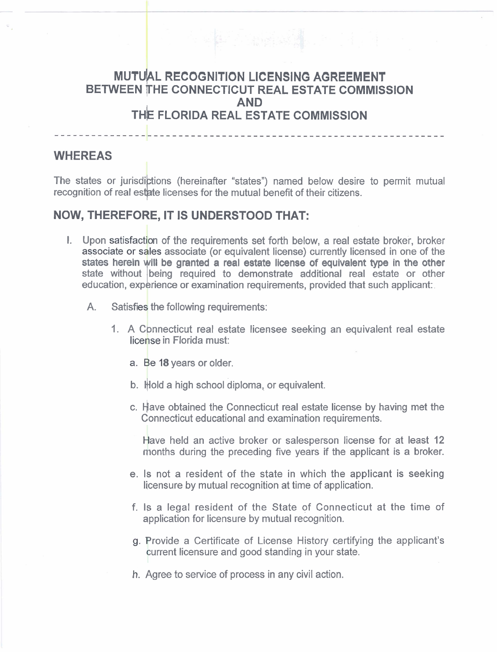## **MUTUAL RECOGNITION LICENSING AGREEMENT BETWEEN IHE CONNECTICUT REAL ESTATE COMMISSION AND THE FLORIDA REAL ESTATE COMMISSION**

----------------------------------

## **WHEREAS**

The states or jurisdictions (hereinafter "states") named below desire to permit mutual recognition of real estate licenses for the mutual benefit of their citizens.

## **NOW, THEREFORE, IT IS UNDERSTOOD THAT:**

- I. Upon satisfaction of the requirements set forth below, a real estate broker, broker associate or sales associate (or equivalent license) currently licensed in one of the states herein will be granted a real estate license of equivalent type in the other state without being required to demonstrate additional real estate or other education, experience or examination requirements, provided that such applicant:
	- A. Satisfies the following requirements:
		- 1 A Connecticut real estate licensee seeking an equivalent real estate license in Florida must:
			- a. Be 18 years or older.
			- b. Hold a high school diploma, or equivalent.
			- c. Have obtained the Connecticut real estate license by having met the Connecticut educational and examination requirements.

Have held an active broker or salesperson license for at least 12 months during the preceding five years if the applicant is a broker.

- e. Is not a resident of the state in which the applicant is seeking licensure by mutual recognition at time of application.
- f. Is a legal resident of the State of Connecticut at the time of application for licensure by mutual recognition.
- g. Provide a Certificate of License History certifying the applicant's current licensure and good standing in your state.
- h. Agree to service of process in any civil action.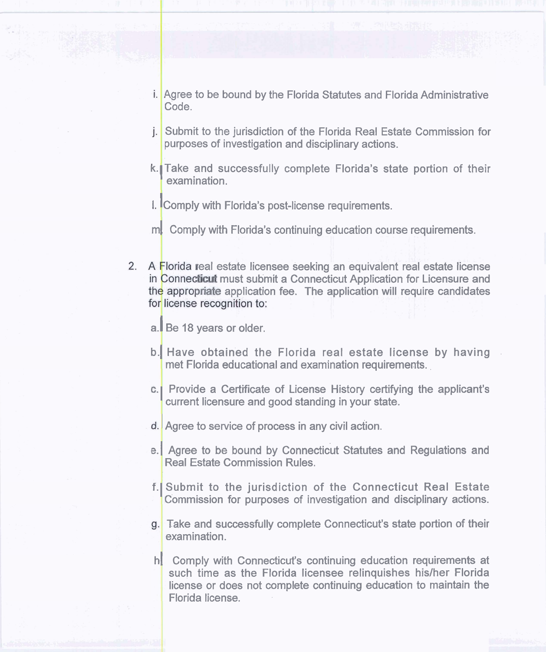- i. Agree to be bound by the Florida Statutes and Florida Administrative Code.
- j. Submit to the jurisdiction of the Florida Real Estate Commission for purposes of investigation and disciplinary actions.
- k. Take and successfully complete Florida's state portion of their examination.
- **I. Comply with Florida's post-license requirements.**
- ml Comply with Florida's continuing education course requirements.
- 2. A Florida real estate licensee seeking an equivalent real estate license in Connecticut must submit a Connecticut Application for Licensure and the appropriate application fee. The application will require candidates for license recognition to:
	- a. Be 18 years or older.
	- b. Have obtained the Florida real estate license by having met Florida educational and examination requirements. .
	- **c.** Provide a Certificate of License History certifying the applicant's current licensure and good standing in your state.
	- d. Agree to service of process in any civil action.
	- e.1 Agree to be bound by Connecticut Statutes and Regulations and Real Estate Commission Rules.
	- f.lSubmit to the jurisdiction of the Connecticut Real Estate Commission for purposes of investigation and disciplinary actions.
	- Take and successfully complete Connecticut's state portion of their examination.
	- h. Comply with Connecticut's continuing education requirements at such time as the Florida licensee relinquishes his/her Florida license or does not complete continuing education to maintain the Florida license.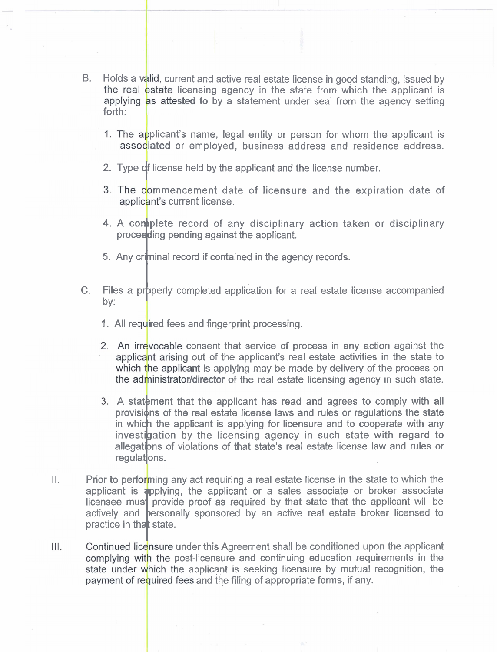- B. Holds a valid, current and active real estate license in good standing, issued by the real estate licensing agency in the state from which the applicant is applying as attested to by a statement under seal from the agency setting forth:
	- 1. The applicant's name, legal entity or person for whom the applicant is associated or employed, business address and residence address.
	- 2. Type **cf** license held by the applicant and the license number.
	- 3. The commencement date of licensure and the expiration date of applicant's current license.
	- 4. A conoplete record of any disciplinary action taken or disciplinary proceeding pending against the applicant.
	- **5. Any criminal record if contained in the agency records.**
- C. Files a properly completed application for a real estate license accompanied by:
	- 1. All required fees and fingerprint processing.
	- 2. An irrevocable consent that service of process in any action against the applicant arising out of the applicant's real estate activities in the state to which the applicant is applying may be made by delivery of the process on the administrator/director of the real estate licensing agency in such state.
	- 3. A statement that the applicant has read and agrees to comply with all provisions of the real estate license laws and rules or regulations the state in which the applicant is applying for licensure and to cooperate with any investigation by the licensing agency in such state with regard to mvestigation by the hcensing agency in such state with regard to<br>allegations of violations of that state's real estate license law and rules or<br>regulations.
- $II.$  Prior to performing any act requiring a real estate license in the state to which the applicant is applying, the applicant or a sales associate or broker associate licensee must provide proof as required by that state that the applicant will be actively and **personally** sponsored by an active real estate broker licensed to practice in that state.
- $III.$ Continued licensure under this Agreement shall be conditioned upon the applicant complying with the post-licensure and continuing education requirements in the state under which the applicant is seeking licensure by mutual recognition, the payment of required fees and the filing of appropriate forms, if any.